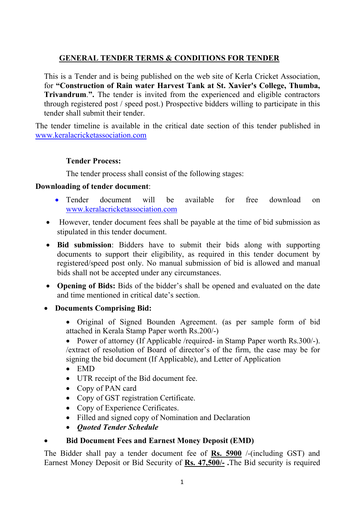# **GENERAL TENDER TERMS & CONDITIONS FOR TENDER**

This is a Tender and is being published on the web site of Kerla Cricket Association, for **"Construction of Rain water Harvest Tank at St. Xavier's College, Thumba, Trivandrum**.**".** The tender is invited from the experienced and eligible contractors through registered post / speed post.) Prospective bidders willing to participate in this tender shall submit their tender.

The tender timeline is available in the critical date section of this tender published in www.keralacricketassociation.com

## **Tender Process:**

The tender process shall consist of the following stages:

## **Downloading of tender document**:

- Tender document will be available for free download on www.keralacricketassociation.com
- However, tender document fees shall be payable at the time of bid submission as stipulated in this tender document.
- **Bid submission**: Bidders have to submit their bids along with supporting documents to support their eligibility, as required in this tender document by registered/speed post only. No manual submission of bid is allowed and manual bids shall not be accepted under any circumstances.
- **Opening of Bids:** Bids of the bidder's shall be opened and evaluated on the date and time mentioned in critical date's section.
- **Documents Comprising Bid:**
	- Original of Signed Bounden Agreement. (as per sample form of bid attached in Kerala Stamp Paper worth Rs.200/-)

• Power of attorney (If Applicable /required- in Stamp Paper worth Rs.300/-). /extract of resolution of Board of director's of the firm, the case may be for signing the bid document (If Applicable), and Letter of Application

- $\bullet$  EMD
- UTR receipt of the Bid document fee.
- Copy of PAN card
- Copy of GST registration Certificate.
- Copy of Experience Cerificates.
- Filled and signed copy of Nomination and Declaration
- *Quoted Tender Schedule*

## **Bid Document Fees and Earnest Money Deposit (EMD)**

The Bidder shall pay a tender document fee of **Rs. 5900** /-(including GST) and Earnest Money Deposit or Bid Security of **Rs. 47,500/- .**The Bid security is required